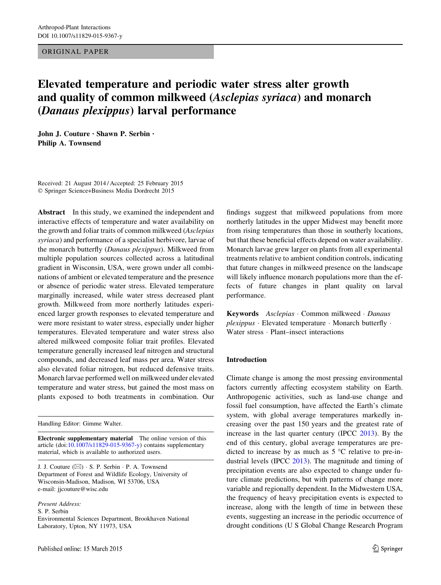# ORIGINAL PAPER

# Elevated temperature and periodic water stress alter growth and quality of common milkweed (Asclepias syriaca) and monarch (Danaus plexippus) larval performance

John J. Couture • Shawn P. Serbin • Philip A. Townsend

Received: 21 August 2014 / Accepted: 25 February 2015 ! Springer Science+Business Media Dordrecht 2015

Abstract In this study, we examined the independent and interactive effects of temperature and water availability on the growth and foliar traits of common milkweed (Asclepias syriaca) and performance of a specialist herbivore, larvae of the monarch butterfly (Danaus plexippus). Milkweed from multiple population sources collected across a latitudinal gradient in Wisconsin, USA, were grown under all combinations of ambient or elevated temperature and the presence or absence of periodic water stress. Elevated temperature marginally increased, while water stress decreased plant growth. Milkweed from more northerly latitudes experienced larger growth responses to elevated temperature and were more resistant to water stress, especially under higher temperatures. Elevated temperature and water stress also altered milkweed composite foliar trait profiles. Elevated temperature generally increased leaf nitrogen and structural compounds, and decreased leaf mass per area. Water stress also elevated foliar nitrogen, but reduced defensive traits. Monarch larvae performed well on milkweed under elevated temperature and water stress, but gained the most mass on plants exposed to both treatments in combination. Our

Handling Editor: Gimme Walter.

Electronic supplementary material The online version of this article (doi:[10.1007/s11829-015-9367-y\)](http://dx.doi.org/10.1007/s11829-015-9367-y) contains supplementary material, which is available to authorized users.

J. J. Couture  $(\boxtimes) \cdot$  S. P. Serbin  $\cdot$  P. A. Townsend Department of Forest and Wildlife Ecology, University of Wisconsin-Madison, Madison, WI 53706, USA e-mail: jjcouture@wisc.edu

Present Address: S. P. Serbin Environmental Sciences Department, Brookhaven National Laboratory, Upton, NY 11973, USA

findings suggest that milkweed populations from more northerly latitudes in the upper Midwest may benefit more from rising temperatures than those in southerly locations, but that these beneficial effects depend on water availability. Monarch larvae grew larger on plants from all experimental treatments relative to ambient condition controls, indicating that future changes in milkweed presence on the landscape will likely influence monarch populations more than the effects of future changes in plant quality on larval performance.

Keywords Asclepias · Common milkweed · Danaus  $plexippus$   $\cdot$  Elevated temperature  $\cdot$  Monarch butterfly  $\cdot$ Water stress · Plant–insect interactions

# Introduction

Climate change is among the most pressing environmental factors currently affecting ecosystem stability on Earth. Anthropogenic activities, such as land-use change and fossil fuel consumption, have affected the Earth's climate system, with global average temperatures markedly increasing over the past 150 years and the greatest rate of increase in the last quarter century (IPCC [2013](#page-11-0)). By the end of this century, global average temperatures are predicted to increase by as much as  $5^{\circ}$ C relative to pre-industrial levels (IPCC [2013\)](#page-11-0). The magnitude and timing of precipitation events are also expected to change under future climate predictions, but with patterns of change more variable and regionally dependent. In the Midwestern USA, the frequency of heavy precipitation events is expected to increase, along with the length of time in between these events, suggesting an increase in the periodic occurrence of drought conditions (U S Global Change Research Program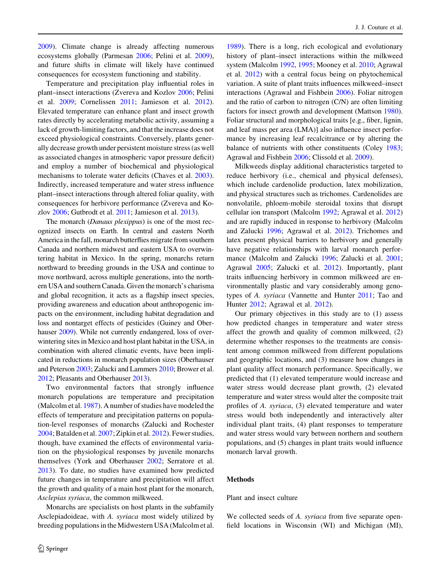[2009\)](#page-11-0). Climate change is already affecting numerous ecosystems globally (Parmesan [2006;](#page-11-0) Pelini et al. [2009](#page-11-0)), and future shifts in climate will likely have continued consequences for ecosystem functioning and stability.

Temperature and precipitation play influential roles in plant–insect interactions (Zvereva and Kozlov [2006](#page-12-0); Pelini et al. [2009](#page-11-0); Cornelissen [2011](#page-10-0); Jamieson et al. [2012](#page-11-0)). Elevated temperature can enhance plant and insect growth rates directly by accelerating metabolic activity, assuming a lack of growth-limiting factors, and that the increase does not exceed physiological constraints. Conversely, plants generally decrease growth under persistent moisture stress (as well as associated changes in atmospheric vapor pressure deficit) and employ a number of biochemical and physiological mechanisms to tolerate water deficits (Chaves et al. [2003](#page-10-0)). Indirectly, increased temperature and water stress influence plant–insect interactions through altered foliar quality, with consequences for herbivore performance (Zvereva and Kozlov [2006;](#page-12-0) Gutbrodt et al. [2011;](#page-11-0) Jamieson et al. [2013\)](#page-11-0).

The monarch (*Danaus plexippus*) is one of the most recognized insects on Earth. In central and eastern North America in the fall, monarch butterflies migrate from southern Canada and northern midwest and eastern USA to overwintering habitat in Mexico. In the spring, monarchs return northward to breeding grounds in the USA and continue to move northward, across multiple generations, into the northern USA and southern Canada. Given the monarch's charisma and global recognition, it acts as a flagship insect species, providing awareness and education about anthropogenic impacts on the environment, including habitat degradation and loss and nontarget effects of pesticides (Guiney and Ober-hauser [2009](#page-11-0)). While not currently endangered, loss of overwintering sites in Mexico and host plant habitat in the USA, in combination with altered climatic events, have been implicated in reductions in monarch population sizes (Oberhauser and Peterson [2003](#page-11-0); Zalucki and Lammers [2010](#page-12-0); Brower et al. [2012;](#page-10-0) Pleasants and Oberhauser [2013\)](#page-11-0).

Two environmental factors that strongly influence monarch populations are temperature and precipitation (Malcolm et al. [1987](#page-11-0)). A number of studies have modeled the effects of temperature and precipitation patterns on population-level responses of monarchs (Zalucki and Rochester [2004;](#page-12-0) Batalden et al. [2007;](#page-10-0) Zipkin et al. [2012](#page-12-0)). Fewer studies, though, have examined the effects of environmental variation on the physiological responses by juvenile monarchs themselves (York and Oberhauser [2002;](#page-11-0) Serratore et al. [2013\)](#page-11-0). To date, no studies have examined how predicted future changes in temperature and precipitation will affect the growth and quality of a main host plant for the monarch, Asclepias syriaca, the common milkweed.

Monarchs are specialists on host plants in the subfamily Asclepiadoideae, with A. syriaca most widely utilized by breeding populations in the Midwestern USA (Malcolm et al.

[1989](#page-11-0)). There is a long, rich ecological and evolutionary history of plant–insect interactions within the milkweed system (Malcolm [1992,](#page-11-0) [1995;](#page-11-0) Mooney et al. [2010;](#page-11-0) Agrawal et al. [2012\)](#page-10-0) with a central focus being on phytochemical variation. A suite of plant traits influences milkweed–insect interactions (Agrawal and Fishbein [2006\)](#page-10-0). Foliar nitrogen and the ratio of carbon to nitrogen (C/N) are often limiting factors for insect growth and development (Mattson [1980](#page-11-0)). Foliar structural and morphological traits [e.g., fiber, lignin, and leaf mass per area (LMA)] also influence insect performance by increasing leaf recalcitrance or by altering the balance of nutrients with other constituents (Coley [1983](#page-10-0); Agrawal and Fishbein [2006;](#page-10-0) Clissold et al. [2009](#page-10-0)).

Milkweeds display additional characteristics targeted to reduce herbivory (i.e., chemical and physical defenses), which include cardenolide production, latex mobilization, and physical structures such as trichomes. Cardenolides are nonvolatile, phloem-mobile steroidal toxins that disrupt cellular ion transport (Malcolm [1992](#page-11-0); Agrawal et al. [2012\)](#page-10-0) and are rapidly induced in response to herbivory (Malcolm and Zalucki [1996](#page-11-0); Agrawal et al. [2012](#page-10-0)). Trichomes and latex present physical barriers to herbivory and generally have negative relationships with larval monarch performance (Malcolm and Zalucki [1996;](#page-11-0) Zalucki et al. [2001](#page-12-0); Agrawal [2005;](#page-10-0) Zalucki et al. [2012\)](#page-12-0). Importantly, plant traits influencing herbivory in common milkweed are environmentally plastic and vary considerably among genotypes of A. syriaca (Vannette and Hunter [2011](#page-11-0); Tao and Hunter [2012](#page-11-0); Agrawal et al. [2012\)](#page-10-0).

Our primary objectives in this study are to (1) assess how predicted changes in temperature and water stress affect the growth and quality of common milkweed, (2) determine whether responses to the treatments are consistent among common milkweed from different populations and geographic locations, and (3) measure how changes in plant quality affect monarch performance. Specifically, we predicted that (1) elevated temperature would increase and water stress would decrease plant growth, (2) elevated temperature and water stress would alter the composite trait profiles of A. syriaca, (3) elevated temperature and water stress would both independently and interactively alter individual plant traits, (4) plant responses to temperature and water stress would vary between northern and southern populations, and (5) changes in plant traits would influence monarch larval growth.

# Methods

Plant and insect culture

We collected seeds of A. syriaca from five separate openfield locations in Wisconsin (WI) and Michigan (MI),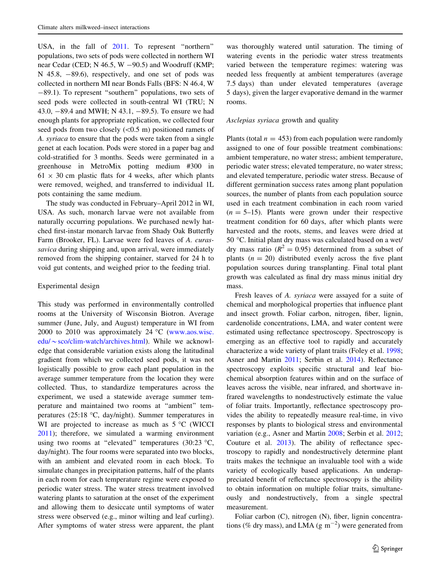USA, in the fall of [2011.](#page-11-0) To represent "northern" populations, two sets of pods were collected in northern WI near Cedar (CED;  $N$  46.5,  $W$  -90.5) and Woodruff (KMP; N 45.8,  $-89.6$ ), respectively, and one set of pods was collected in northern MI near Bonds Falls (BFS: N 46.4, W -89.1). To represent ''southern'' populations, two sets of seed pods were collected in south-central WI (TRU; N 43.0, -89.4 and MWH; N 43.1, -89.5). To ensure we had enough plants for appropriate replication, we collected four seed pods from two closely  $(<0.5 \text{ m})$  positioned ramets of A. syriaca to ensure that the pods were taken from a single genet at each location. Pods were stored in a paper bag and cold-stratified for 3 months. Seeds were germinated in a greenhouse in MetroMix potting medium #300 in  $61 \times 30$  cm plastic flats for 4 weeks, after which plants were removed, weighed, and transferred to individual 1L pots containing the same medium.

The study was conducted in February–April 2012 in WI, USA. As such, monarch larvae were not available from naturally occurring populations. We purchased newly hatched first-instar monarch larvae from Shady Oak Butterfly Farm (Brooker, FL). Larvae were fed leaves of A. curassavica during shipping and, upon arrival, were immediately removed from the shipping container, starved for 24 h to void gut contents, and weighed prior to the feeding trial.

## Experimental design

This study was performed in environmentally controlled rooms at the University of Wisconsin Biotron. Average summer (June, July, and August) temperature in WI from 2000 to 2010 was approximately 24  $^{\circ}$ C ([www.aos.wisc.](http://www.aos.wisc.edu/~sco/clim-watch/archives.html)  $edu/\sim$ [sco/clim-watch/archives.html\)](http://www.aos.wisc.edu/~sco/clim-watch/archives.html). While we acknowledge that considerable variation exists along the latitudinal gradient from which we collected seed pods, it was not logistically possible to grow each plant population in the average summer temperature from the location they were collected. Thus, to standardize temperatures across the experiment, we used a statewide average summer temperature and maintained two rooms at ''ambient'' temperatures (25:18 "C, day/night). Summer temperatures in WI are projected to increase as much as 5 °C (WICCI [2011\)](#page-11-0); therefore, we simulated a warming environment using two rooms at "elevated" temperatures (30:23 °C, day/night). The four rooms were separated into two blocks, with an ambient and elevated room in each block. To simulate changes in precipitation patterns, half of the plants in each room for each temperature regime were exposed to periodic water stress. The water stress treatment involved watering plants to saturation at the onset of the experiment and allowing them to desiccate until symptoms of water stress were observed (e.g., minor wilting and leaf curling). After symptoms of water stress were apparent, the plant

was thoroughly watered until saturation. The timing of watering events in the periodic water stress treatments varied between the temperature regimes: watering was needed less frequently at ambient temperatures (average 7.5 days) than under elevated temperatures (average 5 days), given the larger evaporative demand in the warmer rooms.

# Asclepias syriaca growth and quality

Plants (total  $n = 453$ ) from each population were randomly assigned to one of four possible treatment combinations: ambient temperature, no water stress; ambient temperature, periodic water stress; elevated temperature, no water stress; and elevated temperature, periodic water stress. Because of different germination success rates among plant population sources, the number of plants from each population source used in each treatment combination in each room varied  $(n = 5-15)$ . Plants were grown under their respective treatment condition for 60 days, after which plants were harvested and the roots, stems, and leaves were dried at 50 "C. Initial plant dry mass was calculated based on a wet/ dry mass ratio ( $R^2 = 0.95$ ) determined from a subset of plants  $(n = 20)$  distributed evenly across the five plant population sources during transplanting. Final total plant growth was calculated as final dry mass minus initial dry mass.

Fresh leaves of A. syriaca were assayed for a suite of chemical and morphological properties that influence plant and insect growth. Foliar carbon, nitrogen, fiber, lignin, cardenolide concentrations, LMA, and water content were estimated using reflectance spectroscopy. Spectroscopy is emerging as an effective tool to rapidly and accurately characterize a wide variety of plant traits (Foley et al. [1998](#page-10-0); Asner and Martin [2011](#page-10-0); Serbin et al. [2014](#page-11-0)). Reflectance spectroscopy exploits specific structural and leaf biochemical absorption features within and on the surface of leaves across the visible, near infrared, and shortwave infrared wavelengths to nondestructively estimate the value of foliar traits. Importantly, reflectance spectroscopy provides the ability to repeatedly measure real-time, in vivo responses by plants to biological stress and environmental variation (e.g., Asner and Martin [2008](#page-10-0); Serbin et al. [2012](#page-11-0); Couture et al. [2013\)](#page-10-0). The ability of reflectance spectroscopy to rapidly and nondestructively determine plant traits makes the technique an invaluable tool with a wide variety of ecologically based applications. An underappreciated benefit of reflectance spectroscopy is the ability to obtain information on multiple foliar traits, simultaneously and nondestructively, from a single spectral measurement.

Foliar carbon (C), nitrogen (N), fiber, lignin concentrations (% dry mass), and LMA ( $g \text{ m}^{-2}$ ) were generated from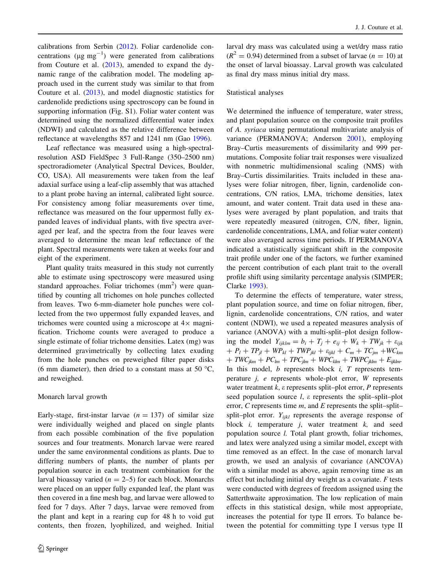calibrations from Serbin ([2012\)](#page-11-0). Foliar cardenolide concentrations ( $\mu$ g mg<sup>-1</sup>) were generated from calibrations from Couture et al. ([2013\)](#page-10-0), amended to expand the dynamic range of the calibration model. The modeling approach used in the current study was similar to that from Couture et al. ([2013\)](#page-10-0), and model diagnostic statistics for cardenolide predictions using spectroscopy can be found in supporting information (Fig. S1). Foliar water content was determined using the normalized differential water index (NDWI) and calculated as the relative difference between reflectance at wavelengths 857 and 1241 nm (Gao [1996](#page-11-0)).

Leaf reflectance was measured using a high-spectralresolution ASD FieldSpec 3 Full-Range (350–2500 nm) spectroradiometer (Analytical Spectral Devices, Boulder, CO, USA). All measurements were taken from the leaf adaxial surface using a leaf-clip assembly that was attached to a plant probe having an internal, calibrated light source. For consistency among foliar measurements over time, reflectance was measured on the four uppermost fully expanded leaves of individual plants, with five spectra averaged per leaf, and the spectra from the four leaves were averaged to determine the mean leaf reflectance of the plant. Spectral measurements were taken at weeks four and eight of the experiment.

Plant quality traits measured in this study not currently able to estimate using spectroscopy were measured using standard approaches. Foliar trichomes  $(nm<sup>2</sup>)$  were quantified by counting all trichomes on hole punches collected from leaves. Two 6-mm-diameter hole punches were collected from the two uppermost fully expanded leaves, and trichomes were counted using a microscope at  $4\times$  magnification. Trichome counts were averaged to produce a single estimate of foliar trichome densities. Latex (mg) was determined gravimetrically by collecting latex exuding from the hole punches on preweighed filter paper disks (6 mm diameter), then dried to a constant mass at 50  $^{\circ}C$ , and reweighed.

## Monarch larval growth

Early-stage, first-instar larvae ( $n = 137$ ) of similar size were individually weighed and placed on single plants from each possible combination of the five population sources and four treatments. Monarch larvae were reared under the same environmental conditions as plants. Due to differing numbers of plants, the number of plants per population source in each treatment combination for the larval bioassay varied ( $n = 2-5$ ) for each block. Monarchs were placed on an upper fully expanded leaf, the plant was then covered in a fine mesh bag, and larvae were allowed to feed for 7 days. After 7 days, larvae were removed from the plant and kept in a rearing cup for 48 h to void gut contents, then frozen, lyophilized, and weighed. Initial larval dry mass was calculated using a wet/dry mass ratio  $(R^{2} = 0.94)$  determined from a subset of larvae  $(n = 10)$  at the onset of larval bioassay. Larval growth was calculated as final dry mass minus initial dry mass.

## Statistical analyses

We determined the influence of temperature, water stress, and plant population source on the composite trait profiles of A. syriaca using permutational multivariate analysis of variance (PERMANOVA; Anderson [2001\)](#page-10-0), employing Bray–Curtis measurements of dissimilarity and 999 permutations. Composite foliar trait responses were visualized with nonmetric multidimensional scaling (NMS) with Bray–Curtis dissimilarities. Traits included in these analyses were foliar nitrogen, fiber, lignin, cardenolide concentrations, C/N ratios, LMA, trichome densities, latex amount, and water content. Trait data used in these analyses were averaged by plant population, and traits that were repeatedly measured (nitrogen, C/N, fiber, lignin, cardenolide concentrations, LMA, and foliar water content) were also averaged across time periods. If PERMANOVA indicated a statistically significant shift in the composite trait profile under one of the factors, we further examined the percent contribution of each plant trait to the overall profile shift using similarity percentage analysis (SIMPER; Clarke [1993](#page-10-0)).

To determine the effects of temperature, water stress, plant population source, and time on foliar nitrogen, fiber, lignin, cardenolide concentrations, C/N ratios, and water content (NDWI), we used a repeated measures analysis of variance (ANOVA) with a multi-split–plot design following the model  $Y_{ijklm} = b_i + T_j + e_{ij} + W_k + TW_{jk} + \varepsilon_{ijk}$  $P_l + TP_{jl} + WP_{kl} + TWP_{jkl} + \varepsilon_{ijkl} + C_m + TC_{jm} + WC_{km}$  $+ TWC_{ikm} + PC_{lm} + TPC_{jlm} + WPC_{klm} + TWPC_{jklm} + E_{ijklm}$ In this model,  $b$  represents block  $i$ ,  $T$  represents temperature j, e represents whole-plot error, W represents water treatment  $k$ ,  $\varepsilon$  represents split–plot error,  $P$  represents seed population source  $l$ ,  $\varepsilon$  represents the split–split–plot error,  $C$  represents time  $m$ , and  $E$  represents the split–split– split–plot error.  $Y_{ijkl}$  represents the average response of block  $i$ , temperature  $j$ , water treatment  $k$ , and seed population source l. Total plant growth, foliar trichomes, and latex were analyzed using a similar model, except with time removed as an effect. In the case of monarch larval growth, we used an analysis of covariance (ANCOVA) with a similar model as above, again removing time as an effect but including initial dry weight as a covariate.  $F$  tests were conducted with degrees of freedom assigned using the Satterthwaite approximation. The low replication of main effects in this statistical design, while most appropriate, increases the potential for type II errors. To balance between the potential for committing type I versus type II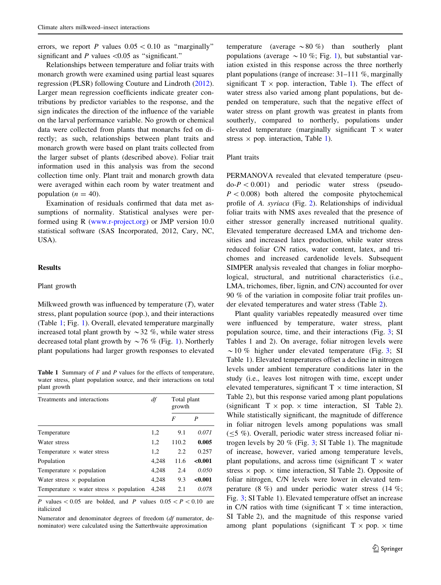errors, we report P values  $0.05 \le 0.10$  as "marginally" significant and  $P$  values  $\leq 0.05$  as "significant."

Relationships between temperature and foliar traits with monarch growth were examined using partial least squares regression (PLSR) following Couture and Lindroth [\(2012](#page-10-0)). Larger mean regression coefficients indicate greater contributions by predictor variables to the response, and the sign indicates the direction of the influence of the variable on the larval performance variable. No growth or chemical data were collected from plants that monarchs fed on directly; as such, relationships between plant traits and monarch growth were based on plant traits collected from the larger subset of plants (described above). Foliar trait information used in this analysis was from the second collection time only. Plant trait and monarch growth data were averaged within each room by water treatment and population ( $n = 40$ ).

Examination of residuals confirmed that data met assumptions of normality. Statistical analyses were performed using R ([www.r-project.org](http://www.r-project.org)) or JMP version 10.0 statistical software (SAS Incorporated, 2012, Cary, NC, USA).

# **Results**

## Plant growth

Milkweed growth was influenced by temperature  $(T)$ , water stress, plant population source (pop.), and their interactions (Table 1; Fig. [1](#page-5-0)). Overall, elevated temperature marginally increased total plant growth by  $\sim$  32 %, while water stress decreased total plant growth by  $\sim$  76 % (Fig. [1\)](#page-5-0). Northerly plant populations had larger growth responses to elevated

**Table 1** Summary of  $F$  and  $P$  values for the effects of temperature, water stress, plant population source, and their interactions on total plant growth

| Treatments and interactions                           | df    | Total plant<br>growth |         |
|-------------------------------------------------------|-------|-----------------------|---------|
|                                                       |       | F                     | P       |
| Temperature                                           | 1,2   | 9.1                   | 0.071   |
| Water stress                                          | 1,2   | 110.2                 | 0.005   |
| Temperature $\times$ water stress                     | 1,2   | 2.2                   | 0.257   |
| Population                                            | 4,248 | 11.6                  | < 0.001 |
| Temperature $\times$ population                       | 4,248 | 2.4                   | 0.050   |
| Water stress $\times$ population                      | 4,248 | 9.3                   | < 0.001 |
| Temperature $\times$ water stress $\times$ population | 4.248 | 2.1                   | 0.078   |

P values  $\lt$  0.05 are bolded, and P values 0.05 $\lt$  P  $\lt$  0.10 are italicized

Numerator and denominator degrees of freedom (df numerator, denominator) were calculated using the Satterthwaite approximation

temperature (average  $\sim 80 \%$ ) than southerly plant populations (average  $\sim$  [1](#page-5-0)0 %; Fig. 1), but substantial variation existed in this response across the three northerly plant populations (range of increase: 31–111 %, marginally significant  $T \times pop$ . interaction, Table 1). The effect of water stress also varied among plant populations, but depended on temperature, such that the negative effect of water stress on plant growth was greatest in plants from southerly, compared to northerly, populations under elevated temperature (marginally significant  $T \times w$ ater stress  $\times$  pop. interaction, Table 1).

# Plant traits

PERMANOVA revealed that elevated temperature (pseu $do-P < 0.001$  and periodic water stress (pseudo- $P < 0.008$ ) both altered the composite phytochemical profile of A. syriaca (Fig. [2\)](#page-5-0). Relationships of individual foliar traits with NMS axes revealed that the presence of either stressor generally increased nutritional quality. Elevated temperature decreased LMA and trichome densities and increased latex production, while water stress reduced foliar C/N ratios, water content, latex, and trichomes and increased cardenolide levels. Subsequent SIMPER analysis revealed that changes in foliar morphological, structural, and nutritional characteristics (i.e., LMA, trichomes, fiber, lignin, and C/N) accounted for over 90 % of the variation in composite foliar trait profiles under elevated temperatures and water stress (Table [2](#page-6-0)).

Plant quality variables repeatedly measured over time were influenced by temperature, water stress, plant population source, time, and their interactions (Fig. [3;](#page-7-0) SI Tables 1 and 2). On average, foliar nitrogen levels were  $\sim$  10 % higher under elevated temperature (Fig. [3](#page-7-0); SI) Table 1). Elevated temperatures offset a decline in nitrogen levels under ambient temperature conditions later in the study (i.e., leaves lost nitrogen with time, except under elevated temperatures, significant  $T \times$  time interaction, SI Table 2), but this response varied among plant populations (significant  $T \times pop. \times$  time interaction, SI Table 2). While statistically significant, the magnitude of difference in foliar nitrogen levels among populations was small  $(\leq 5 \%)$ . Overall, periodic water stress increased foliar nitrogen levels by 20 % (Fig. [3;](#page-7-0) SI Table 1). The magnitude of increase, however, varied among temperature levels, plant populations, and across time (significant  $T \times w$  water stress  $\times$  pop.  $\times$  time interaction, SI Table 2). Opposite of foliar nitrogen, C/N levels were lower in elevated temperature  $(8 \%)$  and under periodic water stress  $(14 \%)$ ; Fig. [3](#page-7-0); SI Table 1). Elevated temperature offset an increase in C/N ratios with time (significant  $T \times$  time interaction, SI Table 2), and the magnitude of this response varied among plant populations (significant  $T \times pop. \times$  time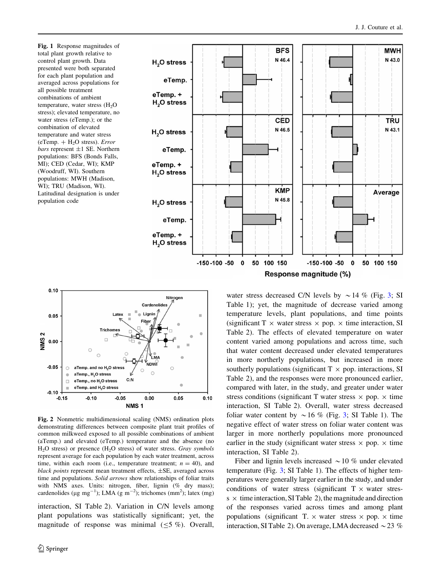<span id="page-5-0"></span>Fig. 1 Response magnitudes of total plant growth relative to control plant growth. Data presented were both separated for each plant population and averaged across populations for all possible treatment combinations of ambient temperature, water stress  $(H<sub>2</sub>O)$ stress); elevated temperature, no water stress (eTemp.); or the combination of elevated temperature and water stress (eTemp.  $+$  H<sub>2</sub>O stress). *Error bars* represent  $\pm 1$  SE. Northern populations: BFS (Bonds Falls, MI); CED (Cedar, WI); KMP (Woodruff, WI). Southern populations: MWH (Madison, WI); TRU (Madison, WI). Latitudinal designation is under population code





Fig. 2 Nonmetric multidimensional scaling (NMS) ordination plots demonstrating differences between composite plant trait profiles of common milkweed exposed to all possible combinations of ambient (aTemp.) and elevated (eTemp.) temperature and the absence (no  $H<sub>2</sub>O$  stress) or presence ( $H<sub>2</sub>O$  stress) of water stress. Gray symbols represent average for each population by each water treatment, across time, within each room (i.e., temperature treatment;  $n = 40$ ), and black points represent mean treatment effects, ±SE, averaged across time and populations. Solid arrows show relationships of foliar traits with NMS axes. Units: nitrogen, fiber, lignin (% dry mass); cardenolides ( $\mu$ g mg<sup>-1</sup>); LMA (g m<sup>-2</sup>); trichomes (mm<sup>2</sup>); latex (mg)

interaction, SI Table 2). Variation in C/N levels among plant populations was statistically significant; yet, the magnitude of response was minimal  $(\leq 5 \%)$ . Overall, water stress decreased C/N levels by  $\sim$  14 % (Fig. [3](#page-7-0); SI Table 1); yet, the magnitude of decrease varied among temperature levels, plant populations, and time points (significant T  $\times$  water stress  $\times$  pop.  $\times$  time interaction, SI Table 2). The effects of elevated temperature on water content varied among populations and across time, such that water content decreased under elevated temperatures in more northerly populations, but increased in more southerly populations (significant  $T \times pop$  interactions, SI Table 2), and the responses were more pronounced earlier, compared with later, in the study, and greater under water stress conditions (significant T water stress  $\times$  pop.  $\times$  time interaction, SI Table 2). Overall, water stress decreased foliar water content by  $\sim$  16 % (Fig. [3](#page-7-0); SI Table 1). The negative effect of water stress on foliar water content was larger in more northerly populations more pronounced earlier in the study (significant water stress  $\times$  pop.  $\times$  time interaction, SI Table 2).

Fiber and lignin levels increased  $\sim$  10 % under elevated temperature (Fig. [3;](#page-7-0) SI Table 1). The effects of higher temperatures were generally larger earlier in the study, and under conditions of water stress (significant  $T \times$  water stres $s \times t$  time interaction, SI Table 2), the magnitude and direction of the responses varied across times and among plant populations (significant T.  $\times$  water stress  $\times$  pop.  $\times$  time interaction, SI Table 2). On average, LMA decreased  $\sim$  23 %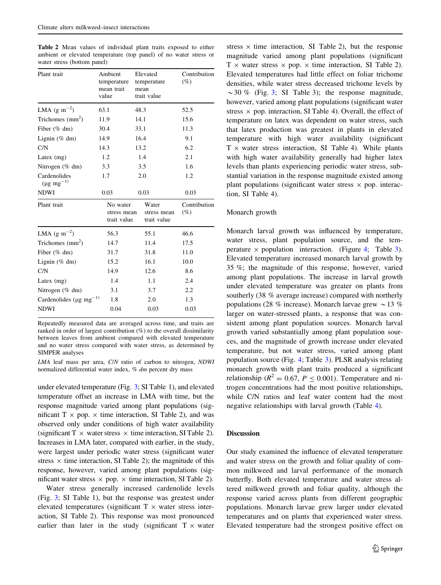<span id="page-6-0"></span>Table 2 Mean values of individual plant traits exposed to either ambient or elevated temperature (top panel) of no water stress or water stress (bottom panel)

| Plant trait                              | Ambient<br>temperature<br>mean trait<br>value | Elevated<br>temperature<br>mean<br>trait value | Contribution<br>$(\%)$ |
|------------------------------------------|-----------------------------------------------|------------------------------------------------|------------------------|
| LMA $(g m^{-2})$                         | 63.1                                          | 48.3                                           | 52.5                   |
| Trichomes $\text{(mm}^2)$                | 11.9                                          | 14.1                                           | 15.6                   |
| Fiber $(\%$ dm)                          | 30.4                                          | 33.1                                           | 11.3                   |
| Lignin $(\%$ dm)                         | 14.9                                          | 16.4                                           | 9.1                    |
| C/N                                      | 14.3                                          | 13.2                                           | 6.2                    |
| Latex $(mg)$                             | 1.2                                           | 1.4                                            | 2.1                    |
| Nitrogen (% dm)                          | 3.3                                           | 3.5                                            | 1.6                    |
| Cardenolides<br>$(\mu g \, mg^{-1})$     | 1.7                                           | 2.0                                            | 1.2                    |
| <b>NDWI</b>                              | 0.03                                          | 0.03                                           | 0.03                   |
| Plant trait                              | No water<br>stress mean<br>trait value        | Water<br>stress mean<br>trait value            | Contribution<br>$(\%)$ |
| LMA $(g m^{-2})$                         | 56.3                                          | 55.1                                           | 46.6                   |
| Trichomes $\text{(mm}^2)$                | 14.7                                          | 11.4                                           | 17.5                   |
| Fiber $(\%$ dm)                          | 31.7                                          | 31.8                                           | 11.0                   |
| Lignin $(\%$ dm)                         | 15.2                                          | 16.1                                           | 10.0                   |
| C/N                                      | 14.9                                          | 12.6                                           | 8.6                    |
| Latex $(mg)$                             | 1.4                                           | 1.1                                            | 2.4                    |
| Nitrogen $(\%$ dm)                       | 3.1                                           | 3.7                                            | 2.2                    |
| Cardenolides ( $\mu$ g mg <sup>-1)</sup> | 1.8                                           | 2.0                                            | 1.3                    |
| <b>NDWI</b>                              | 0.04                                          | 0.03                                           | 0.03                   |

Repeatedly measured data are averaged across time, and traits are ranked in order of largest contribution (%) to the overall dissimilarity between leaves from ambient compared with elevated temperature and no water stress compared with water stress, as determined by SIMPER analyses

LMA leaf mass per area, C/N ratio of carbon to nitrogen, NDWI normalized differential water index, % dm percent dry mass

under elevated temperature (Fig. [3](#page-7-0); SI Table 1), and elevated temperature offset an increase in LMA with time, but the response magnitude varied among plant populations (significant  $T \times pop. \times$  time interaction, SI Table 2), and was observed only under conditions of high water availability (significant  $T \times$  water stress  $\times$  time interaction, SI Table 2). Increases in LMA later, compared with earlier, in the study, were largest under periodic water stress (significant water stress  $\times$  time interaction, SI Table 2); the magnitude of this response, however, varied among plant populations (significant water stress  $\times$  pop.  $\times$  time interaction, SI Table 2).

Water stress generally increased cardenolide levels (Fig. [3](#page-7-0); SI Table 1), but the response was greatest under elevated temperatures (significant  $T \times$  water stress interaction, SI Table 2). This response was most pronounced earlier than later in the study (significant  $T \times w$  water stress  $\times$  time interaction. SI Table 2), but the response magnitude varied among plant populations (significant  $T \times$  water stress  $\times$  pop.  $\times$  time interaction, SI Table 2). Elevated temperatures had little effect on foliar trichome densities, while water stress decreased trichome levels by  $\sim$  30 % (Fig. [3;](#page-7-0) SI Table 3); the response magnitude, however, varied among plant populations (significant water stress  $\times$  pop. interaction, SI Table 4). Overall, the effect of temperature on latex was dependent on water stress, such that latex production was greatest in plants in elevated temperature with high water availability (significant  $T \times$  water stress interaction, SI Table 4). While plants with high water availability generally had higher latex levels than plants experiencing periodic water stress, substantial variation in the response magnitude existed among plant populations (significant water stress  $\times$  pop. interaction, SI Table 4).

#### Monarch growth

Monarch larval growth was influenced by temperature, water stress, plant population source, and the temperature  $\times$  population interaction. (Figure [4](#page-8-0); Table [3](#page-8-0)). Elevated temperature increased monarch larval growth by 35 %; the magnitude of this response, however, varied among plant populations. The increase in larval growth under elevated temperature was greater on plants from southerly (38 % average increase) compared with northerly populations (28 % increase). Monarch larvae grew  $\sim$  13 % larger on water-stressed plants, a response that was consistent among plant population sources. Monarch larval growth varied substantially among plant population sources, and the magnitude of growth increase under elevated temperature, but not water stress, varied among plant population source (Fig. [4;](#page-8-0) Table [3](#page-8-0)). PLSR analysis relating monarch growth with plant traits produced a significant relationship ( $R^2 = 0.67$ ,  $P \le 0.001$ ). Temperature and nitrogen concentrations had the most positive relationships, while C/N ratios and leaf water content had the most negative relationships with larval growth (Table [4](#page-9-0)).

# Discussion

Our study examined the influence of elevated temperature and water stress on the growth and foliar quality of common milkweed and larval performance of the monarch butterfly. Both elevated temperature and water stress altered milkweed growth and foliar quality, although the response varied across plants from different geographic populations. Monarch larvae grew larger under elevated temperatures and on plants that experienced water stress. Elevated temperature had the strongest positive effect on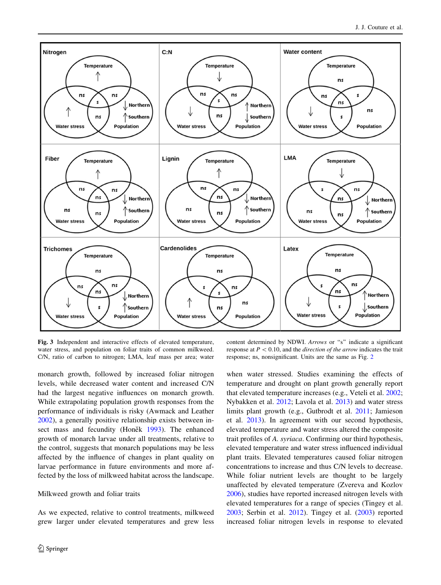<span id="page-7-0"></span>

Fig. 3 Independent and interactive effects of elevated temperature, water stress, and population on foliar traits of common milkweed. C/N, ratio of carbon to nitrogen; LMA, leaf mass per area; water

monarch growth, followed by increased foliar nitrogen levels, while decreased water content and increased C/N had the largest negative influences on monarch growth. While extrapolating population growth responses from the performance of individuals is risky (Awmack and Leather [2002\)](#page-10-0), a generally positive relationship exists between in-sect mass and fecundity (Hone<sup>K</sup> [1993](#page-11-0)). The enhanced growth of monarch larvae under all treatments, relative to the control, suggests that monarch populations may be less affected by the influence of changes in plant quality on larvae performance in future environments and more affected by the loss of milkweed habitat across the landscape.

# Milkweed growth and foliar traits

As we expected, relative to control treatments, milkweed grew larger under elevated temperatures and grew less

content determined by NDWI. Arrows or "s" indicate a significant response at  $P < 0.10$ , and the *direction of the arrow* indicates the trait response; ns, nonsignificant. Units are the same as Fig. [2](#page-5-0)

when water stressed. Studies examining the effects of temperature and drought on plant growth generally report that elevated temperature increases (e.g., Veteli et al. [2002](#page-11-0); Nybakken et al. [2012](#page-11-0); Lavola et al. [2013](#page-11-0)) and water stress limits plant growth (e.g., Gutbrodt et al. [2011](#page-11-0); Jamieson et al. [2013](#page-11-0)). In agreement with our second hypothesis, elevated temperature and water stress altered the composite trait profiles of A. syriaca. Confirming our third hypothesis, elevated temperature and water stress influenced individual plant traits. Elevated temperatures caused foliar nitrogen concentrations to increase and thus C/N levels to decrease. While foliar nutrient levels are thought to be largely unaffected by elevated temperature (Zvereva and Kozlov [2006](#page-12-0)), studies have reported increased nitrogen levels with elevated temperatures for a range of species (Tingey et al. [2003](#page-11-0); Serbin et al. [2012](#page-11-0)). Tingey et al. ([2003\)](#page-11-0) reported increased foliar nitrogen levels in response to elevated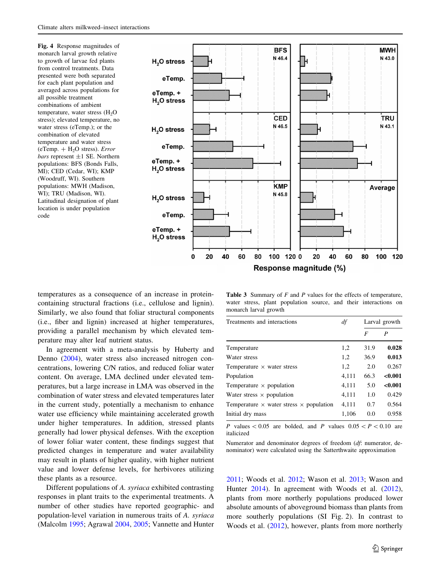<span id="page-8-0"></span>Fig. 4 Response magnitudes of monarch larval growth relative to growth of larvae fed plants from control treatments. Data presented were both separated for each plant population and averaged across populations for all possible treatment combinations of ambient temperature, water stress  $(H<sub>2</sub>O)$ stress); elevated temperature, no water stress (eTemp.); or the combination of elevated temperature and water stress (eTemp.  $+$  H<sub>2</sub>O stress). *Error bars* represent  $\pm 1$  SE. Northern populations: BFS (Bonds Falls, MI); CED (Cedar, WI); KMP (Woodruff, WI). Southern populations: MWH (Madison, WI); TRU (Madison, WI). Latitudinal designation of plant location is under population code



temperatures as a consequence of an increase in proteincontaining structural fractions (i.e., cellulose and lignin). Similarly, we also found that foliar structural components (i.e., fiber and lignin) increased at higher temperatures, providing a parallel mechanism by which elevated temperature may alter leaf nutrient status.

In agreement with a meta-analysis by Huberty and Denno ([2004\)](#page-11-0), water stress also increased nitrogen concentrations, lowering C/N ratios, and reduced foliar water content. On average, LMA declined under elevated temperatures, but a large increase in LMA was observed in the combination of water stress and elevated temperatures later in the current study, potentially a mechanism to enhance water use efficiency while maintaining accelerated growth under higher temperatures. In addition, stressed plants generally had lower physical defenses. With the exception of lower foliar water content, these findings suggest that predicted changes in temperature and water availability may result in plants of higher quality, with higher nutrient value and lower defense levels, for herbivores utilizing these plants as a resource.

Different populations of A. syriaca exhibited contrasting responses in plant traits to the experimental treatments. A number of other studies have reported geographic- and population-level variation in numerous traits of A. syriaca (Malcolm [1995](#page-11-0); Agrawal [2004](#page-10-0), [2005](#page-10-0); Vannette and Hunter

**Table 3** Summary of  $F$  and  $P$  values for the effects of temperature, water stress, plant population source, and their interactions on monarch larval growth

| Treatments and interactions                           | df    | Larval growth |         |
|-------------------------------------------------------|-------|---------------|---------|
|                                                       |       | F             | P       |
| Temperature                                           | 1,2   | 31.9          | 0.028   |
| Water stress                                          | 1,2   | 36.9          | 0.013   |
| Temperature $\times$ water stress                     | 1.2   | 2.0           | 0.267   |
| Population                                            | 4.111 | 66.3          | < 0.001 |
| Temperature $\times$ population                       | 4.111 | 5.0           | < 0.001 |
| Water stress $\times$ population                      | 4.111 | 1.0           | 0.429   |
| Temperature $\times$ water stress $\times$ population | 4,111 | 0.7           | 0.564   |
| Initial dry mass                                      | 1,106 | 0.0           | 0.958   |

P values  $0.05$  are bolded, and P values  $0.05 < P < 0.10$  are italicized

Numerator and denominator degrees of freedom (df: numerator, denominator) were calculated using the Satterthwaite approximation

[2011](#page-11-0); Woods et al. [2012](#page-11-0); Wason et al. [2013;](#page-11-0) Wason and Hunter [2014](#page-11-0)). In agreement with Woods et al. [\(2012](#page-11-0)), plants from more northerly populations produced lower absolute amounts of aboveground biomass than plants from more southerly populations (SI Fig. 2). In contrast to Woods et al. ([2012\)](#page-11-0), however, plants from more northerly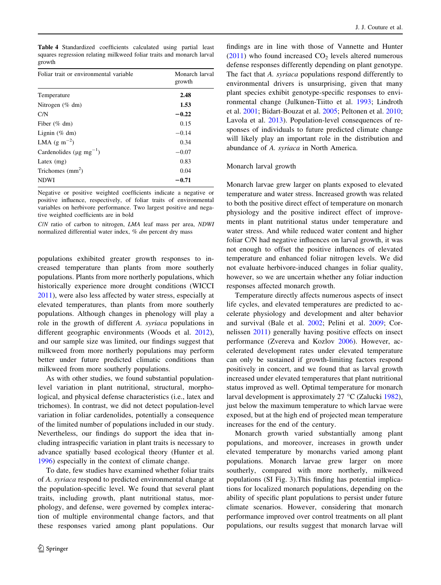<span id="page-9-0"></span>Table 4 Standardized coefficients calculated using partial least squares regression relating milkweed foliar traits and monarch larval growth

| 2.48<br>Temperature<br>1.53<br>Nitrogen $(\%$ dm)<br>$-0.22$<br>C/N<br>0.15<br>Fiber $(\%$ dm)<br>$-0.14$<br>Lignin $(\%$ dm) | Monarch larval<br>growth |  |
|-------------------------------------------------------------------------------------------------------------------------------|--------------------------|--|
|                                                                                                                               |                          |  |
|                                                                                                                               |                          |  |
|                                                                                                                               |                          |  |
|                                                                                                                               |                          |  |
|                                                                                                                               |                          |  |
| LMA $(g m^{-2})$<br>0.34                                                                                                      |                          |  |
| Cardenolides ( $\mu$ g mg <sup>-1</sup> )<br>$-0.07$                                                                          |                          |  |
| 0.83<br>Latex $(mg)$                                                                                                          |                          |  |
| Trichomes $(nm2)$<br>0.04                                                                                                     |                          |  |
| <b>NDWI</b><br>$-0.71$                                                                                                        |                          |  |

Negative or positive weighted coefficients indicate a negative or positive influence, respectively, of foliar traits of environmental variables on herbivore performance. Two largest positive and negative weighted coefficients are in bold

C/N ratio of carbon to nitrogen, LMA leaf mass per area, NDWI normalized differential water index, % dm percent dry mass

populations exhibited greater growth responses to increased temperature than plants from more southerly populations. Plants from more northerly populations, which historically experience more drought conditions (WICCI [2011\)](#page-11-0), were also less affected by water stress, especially at elevated temperatures, than plants from more southerly populations. Although changes in phenology will play a role in the growth of different A. syriaca populations in different geographic environments (Woods et al. [2012](#page-11-0)), and our sample size was limited, our findings suggest that milkweed from more northerly populations may perform better under future predicted climatic conditions than milkweed from more southerly populations.

As with other studies, we found substantial populationlevel variation in plant nutritional, structural, morphological, and physical defense characteristics (i.e., latex and trichomes). In contrast, we did not detect population-level variation in foliar cardenolides, potentially a consequence of the limited number of populations included in our study. Nevertheless, our findings do support the idea that including intraspecific variation in plant traits is necessary to advance spatially based ecological theory (Hunter et al. [1996\)](#page-11-0) especially in the context of climate change.

To date, few studies have examined whether foliar traits of A. syriaca respond to predicted environmental change at the population-specific level. We found that several plant traits, including growth, plant nutritional status, morphology, and defense, were governed by complex interaction of multiple environmental change factors, and that these responses varied among plant populations. Our

findings are in line with those of Vannette and Hunter  $(2011)$  $(2011)$  who found increased  $CO<sub>2</sub>$  levels altered numerous defense responses differently depending on plant genotype. The fact that A. syriaca populations respond differently to environmental drivers is unsurprising, given that many plant species exhibit genotype-specific responses to environmental change (Julkunen-Tiitto et al. [1993;](#page-11-0) Lindroth et al. [2001;](#page-11-0) Bidart-Bouzat et al. [2005;](#page-10-0) Peltonen et al. [2010](#page-11-0); Lavola et al. [2013](#page-11-0)). Population-level consequences of responses of individuals to future predicted climate change will likely play an important role in the distribution and abundance of A. syriaca in North America.

# Monarch larval growth

Monarch larvae grew larger on plants exposed to elevated temperature and water stress. Increased growth was related to both the positive direct effect of temperature on monarch physiology and the positive indirect effect of improvements in plant nutritional status under temperature and water stress. And while reduced water content and higher foliar C/N had negative influences on larval growth, it was not enough to offset the positive influences of elevated temperature and enhanced foliar nitrogen levels. We did not evaluate herbivore-induced changes in foliar quality, however, so we are uncertain whether any foliar induction responses affected monarch growth.

Temperature directly affects numerous aspects of insect life cycles, and elevated temperatures are predicted to accelerate physiology and development and alter behavior and survival (Bale et al. [2002;](#page-10-0) Pelini et al. [2009](#page-11-0); Cornelissen [2011](#page-10-0)) generally having positive effects on insect performance (Zvereva and Kozlov [2006\)](#page-12-0). However, accelerated development rates under elevated temperature can only be sustained if growth-limiting factors respond positively in concert, and we found that as larval growth increased under elevated temperatures that plant nutritional status improved as well. Optimal temperature for monarch larval development is approximately  $27 \text{ °C}$  (Zalucki [1982](#page-12-0)), just below the maximum temperature to which larvae were exposed, but at the high end of projected mean temperature increases for the end of the century.

Monarch growth varied substantially among plant populations, and moreover, increases in growth under elevated temperature by monarchs varied among plant populations. Monarch larvae grew larger on more southerly, compared with more northerly, milkweed populations (SI Fig. 3).This finding has potential implications for localized monarch populations, depending on the ability of specific plant populations to persist under future climate scenarios. However, considering that monarch performance improved over control treatments on all plant populations, our results suggest that monarch larvae will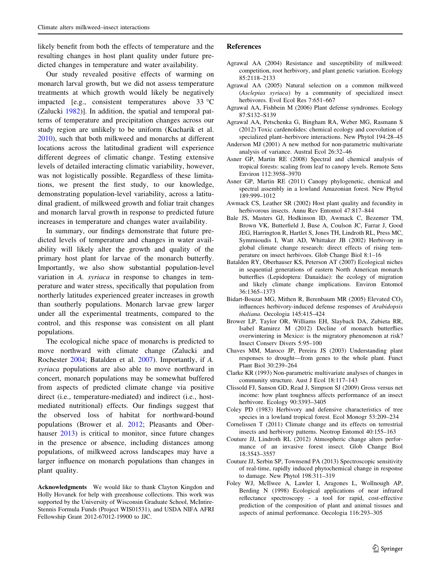<span id="page-10-0"></span>likely benefit from both the effects of temperature and the resulting changes in host plant quality under future predicted changes in temperature and water availability.

Our study revealed positive effects of warming on monarch larval growth, but we did not assess temperature treatments at which growth would likely be negatively impacted [e.g., consistent temperatures above 33  $^{\circ}$ C (Zalucki [1982](#page-12-0))]. In addition, the spatial and temporal patterns of temperature and precipitation changes across our study region are unlikely to be uniform (Kucharik et al. [2010\)](#page-11-0), such that both milkweed and monarchs at different locations across the latitudinal gradient will experience different degrees of climatic change. Testing extensive levels of detailed interacting climatic variability, however, was not logistically possible. Regardless of these limitations, we present the first study, to our knowledge, demonstrating population-level variability, across a latitudinal gradient, of milkweed growth and foliar trait changes and monarch larval growth in response to predicted future increases in temperature and changes water availability.

In summary, our findings demonstrate that future predicted levels of temperature and changes in water availability will likely alter the growth and quality of the primary host plant for larvae of the monarch butterfly. Importantly, we also show substantial population-level variation in A. syriaca in response to changes in temperature and water stress, specifically that population from northerly latitudes experienced greater increases in growth than southerly populations. Monarch larvae grew larger under all the experimental treatments, compared to the control, and this response was consistent on all plant populations.

The ecological niche space of monarchs is predicted to move northward with climate change (Zalucki and Rochester [2004](#page-12-0); Batalden et al. 2007). Importantly, if A. syriaca populations are also able to move northward in concert, monarch populations may be somewhat buffered from aspects of predicted climate change via positive direct (i.e., temperature-mediated) and indirect (i.e., hostmediated nutritional) effects. Our findings suggest that the observed loss of habitat for northward-bound populations (Brower et al. 2012; Pleasants and Ober-hauser [2013](#page-11-0)) is critical to monitor, since future changes in the presence or absence, including distances among populations, of milkweed across landscapes may have a larger influence on monarch populations than changes in plant quality.

Acknowledgments We would like to thank Clayton Kingdon and Holly Hovanek for help with greenhouse collections. This work was supported by the University of Wisconsin Graduate School, McIntire-Stennis Formula Funds (Project WIS01531), and USDA NIFA AFRI Fellowship Grant 2012-67012-19900 to JJC.

## References

- Agrawal AA (2004) Resistance and susceptibility of milkweed: competition, root herbivory, and plant genetic variation. Ecology 85:2118–2133
- Agrawal AA (2005) Natural selection on a common milkweed (Asclepias syriaca) by a community of specialized insect herbivores. Evol Ecol Res 7:651–667
- Agrawal AA, Fishbein M (2006) Plant defense syndromes. Ecology 87:S132–S139
- Agrawal AA, Petschenka G, Bingham RA, Weber MG, Rasmann S (2012) Toxic cardenolides: chemical ecology and coevolution of specialized plant–herbivore interactions. New Phytol 194:28–45
- Anderson MJ (2001) A new method for non-parametric multivariate analysis of variance. Austral Ecol 26:32–46
- Asner GP, Martin RE (2008) Spectral and chemical analysis of tropical forests: scaling from leaf to canopy levels. Remote Sens Environ 112:3958–3970
- Asner GP, Martin RE (2011) Canopy phylogenetic, chemical and spectral assembly in a lowland Amazonian forest. New Phytol 189:999–1012
- Awmack CS, Leather SR (2002) Host plant quality and fecundity in herbivorous insects. Annu Rev Entomol 47:817–844
- Bale JS, Masters GJ, Hodkinson ID, Awmack C, Bezemer TM, Brown VK, Butterfield J, Buse A, Coulson JC, Farrar J, Good JEG, Harrington R, Hartlet S, Jones TH, Lindroth RL, Press MC, Symrnioudis I, Watt AD, Whittaker JB (2002) Herbivory in global climate change research: direct effects of rising temperature on insect herbivoes. Glob Change Biol 8:1–16
- Batalden RY, Oberhauser KS, Peterson AT (2007) Ecological niches in sequential generations of eastern North American monarch butterflies (Lepidoptera: Danaidae): the ecology of migration and likely climate change implications. Environ Entomol 36:1365–1373
- Bidart-Bouzat MG, Mithen R, Berenbaum MR (2005) Elevated  $CO<sub>2</sub>$ influences herbivory-induced defense responses of Arabidopsis thaliana. Oecologia 145:415–424
- Brower LP, Taylor OR, Williams EH, Slayback DA, Zubieta RR, Isabel Ramirez M (2012) Decline of monarch butterflies overwintering in Mexico: is the migratory phenomenon at risk? Insect Conserv Divers 5:95–100
- Chaves MM, Maroco JP, Pereira JS (2003) Understanding plant responses to drought—from genes to the whole plant. Funct Plant Biol 30:239–264
- Clarke KR (1993) Non-parametric multivariate analyses of changes in community structure. Aust J Ecol 18:117–143
- Clissold FJ, Sanson GD, Read J, Simpson SJ (2009) Gross versus net income: how plant toughness affects performance of an insect herbivore. Ecology 90:3393–3405
- Coley PD (1983) Herbivory and defensive characteristics of tree species in a lowland tropical forest. Ecol Monogr 53:209–234
- Cornelissen T (2011) Climate change and its effects on terrestrial insects and herbivory patterns. Neotrop Entomol 40:155–163
- Couture JJ, Lindroth RL (2012) Atmospheric change alters performance of an invasive forest insect. Glob Change Biol 18:3543–3557
- Couture JJ, Serbin SP, Townsend PA (2013) Spectroscopic sensitivity of real-time, rapidly induced phytochemical change in response to damage. New Phytol 198:311–319
- Foley WJ, McIlwee A, Lawler I, Aragones L, Wollnough AP, Berding N (1998) Ecological applications of near infrared reflectance spectroscopy - a tool for rapid, cost-effective prediction of the composition of plant and animal tissues and aspects of animal performance. Oecologia 116:293–305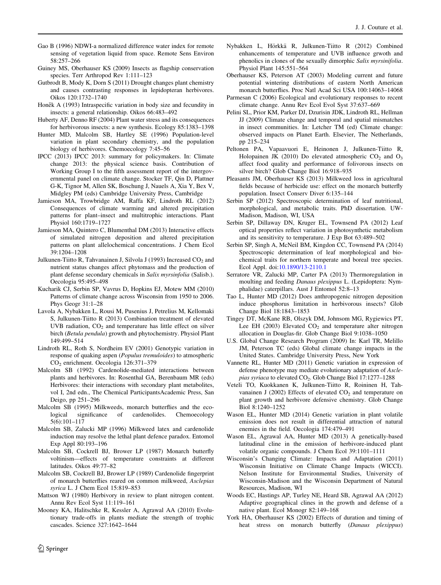- <span id="page-11-0"></span>Gao B (1996) NDWI-a normalized difference water index for remote sensing of vegetation liquid from space. Remote Sens Environ 58:257–266
- Guiney MS, Oberhauser KS (2009) Insects as flagship conservation species. Terr Arthropod Rev 1:111–123
- Gutbrodt B, Mody K, Dorn S (2011) Drought changes plant chemistry and causes contrasting responses in lepidopteran herbivores. Oikos 120:1732–1740
- Honěk A (1993) Intraspecific variation in body size and fecundity in insects: a general relationship. Oikos 66:483–492
- Huberty AF, Denno RF (2004) Plant water stress and its consequences for herbivorous insects: a new synthesis. Ecology 85:1383–1398
- Hunter MD, Malcolm SB, Hartley SE (1996) Population-level variation in plant secondary chemistry, and the population biology of herbivores. Chemoecology 7:45–56
- IPCC (2013) IPCC 2013: summary for policymakers. In: Climate change 2013: the physical science basis. Contribution of Working Group I to the fifth assessment report of the intergovernmental panel on climate change. Stocker TF, Qin D, Plattner G-K, Tignor M, Allen SK, Boschung J, Nauels A, Xia Y, Bex V, Midgley PM (eds) Cambridge University Press, Cambridge
- Jamieson MA, Trowbridge AM, Raffa KF, Lindroth RL (2012) Consequences of climate warming and altered precipitation patterns for plant–insect and multitrophic interactions. Plant Physiol 160:1719–1727
- Jamieson MA, Quintero C, Blumenthal DM (2013) Interactive effects of simulated nitrogen deposition and altered precipitation patterns on plant allelochemical concentrations. J Chem Ecol 39:1204–1208
- Julkunen-Tiitto R, Tahvanainen J, Silvola J (1993) Increased CO<sub>2</sub> and nutrient status changes affect phytomass and the production of plant defense secondary chemicals in Salix myrsinfolia (Salisb.). Oecologia 95:495–498
- Kucharik CJ, Serbin SP, Vavrus D, Hopkins EJ, Motew MM (2010) Patterns of climate change across Wisconsin from 1950 to 2006. Phys Geogr 31:1–28
- Lavola A, Nybakken L, Rousi M, Pusenius J, Petrelius M, Kellomaki S, Julkunen-Tiitto R (2013) Combination treatment of elevated UVB radiation,  $CO<sub>2</sub>$  and temperature has little effect on silver birch (Betula pendula) growth and phytochemistry. Physiol Plant 149:499–514
- Lindroth RL, Roth S, Nordheim EV (2001) Genotypic variation in response of quaking aspen (Populus tremuloides) to atmospheric CO2 enrichment. Oecologia 126:371–379
- Malcolm SB (1992) Cardenolide-mediated interactions between plants and herbivores. In: Rosenthal GA, Berenbaum MR (eds) Herbivores: their interactions with secondary plant metabolites, vol I, 2nd edn., The Chemical ParticipantsAcademic Press, San Deigo, pp 251–296
- Malcolm SB (1995) Milkweeds, monarch butterflies and the ecological significance of cardenolides. Chemoecology 5(6):101–117
- Malcolm SB, Zalucki MP (1996) Milkweed latex and cardenolide induction may resolve the lethal plant defence paradox. Entomol Exp Appl 80:193–196
- Malcolm SB, Cockrell BJ, Brower LP (1987) Monarch butterfly voltinism—effects of temperature constraints at different latitudes. Oikos 49:77–82
- Malcolm SB, Cockrell BJ, Brower LP (1989) Cardenolide fingerprint of monarch butterflies reared on common milkweed, Asclepias syrica L. J Chem Ecol 15:819–853
- Mattson WJ (1980) Herbivory in review to plant nitrogen content. Annu Rev Ecol Syst 11:119–161
- Mooney KA, Halitschke R, Kessler A, Agrawal AA (2010) Evolutionary trade-offs in plants mediate the strength of trophic cascades. Science 327:1642–1644
- Nybakken L, Hörkkä R, Julkunen-Tiitto R (2012) Combined enhancements of temperature and UVB influence grwoth and phenolics in clones of the sexually dimorphic Salix myrsinifolia. Physiol Plant 145:551–564
- Oberhauser KS, Peterson AT (2003) Modeling current and future potential wintering distributions of eastern North American monarch butterflies. Proc Natl Acad Sci USA 100:14063–14068
- Parmesan C (2006) Ecological and evolutionary responses to recent climate change. Annu Rev Ecol Evol Syst 37:637–669
- Pelini SL, Prior KM, Parker DJ, Dzurisin JDK, Lindroth RL, Hellman JJ (2009) Climate change and temporal and spatial mismatches in insect communities. In: Letcher TM (ed) Climate change: observed impacts on Planet Earth. Elsevier, The Netherlands, pp 215–234
- Peltonen PA, Vapaavuori E, Heinonen J, Julkunen-Tiitto R, Holopainen JK (2010) Do elevated atmospheric  $CO<sub>2</sub>$  and  $O<sub>3</sub>$ affect food quality and performance of folivorous insects on silver birch? Glob Change Biol 16:918–935
- Pleasants JM, Oberhauser KS (2013) Milkweed loss in agricultural fields because of herbicide use: effect on the monarch butterfly population. Insect Conserv Diver 6:135–144
- Serbin SP (2012) Spectroscopic determination of leaf nutritional, morphological, and metabolic traits. PhD dissertation. UW-Madison, Madison, WI, USA
- Serbin SP, Dillaway DN, Kruger EL, Townsend PA (2012) Leaf optical properties reflect variation in photosynthetic metabolism and its sensitivity to temperature. J Exp Bot 63:489–502
- Serbin SP, Singh A, McNeil BM, Kingdon CC, Townsend PA (2014) Spectroscopic determination of leaf morphological and biochemical traits for northern temperate and boreal tree species. Ecol Appl. doi:[10.1890/13-2110.1](http://dx.doi.org/10.1890/13-2110.1)
- Serratore VR, Zalucki MP, Carter PA (2013) Thermoregulation in moulting and feeding Danaus plexippus L. (Lepidoptera: Nymphalidae) caterpillars. Aust J Entomol 52:8–13
- Tao L, Hunter MD (2012) Does anthropogenic nitrogen deposition induce phosphorus limitation in herbivorous insects? Glob Change Biol 18:1843–1853
- Tingey DT, McKane RB, Olszyk DM, Johnsom MG, Rygiewics PT, Lee EH (2003) Elevated  $CO<sub>2</sub>$  and temperature alter nitrogen allocation in Douglas-fir. Glob Change Biol 9:1038–1050
- U.S. Global Change Research Program (2009) In: Karl TR, Melillo JM, Peterson TC (eds) Global climate change impacts in the United States. Cambridge University Press, New York
- Vannette RL, Hunter MD (2011) Genetic variation in expression of defense phenotype may mediate evolutionary adaptation of Asclepias syriaca to elevated CO<sub>2</sub>. Glob Change Biol 17:1277-1288
- Veteli TO, Kuokkanen K, Julkunen-Tiitto R, Roininen H, Tahvanainen J (2002) Effects of elevated  $CO<sub>2</sub>$  and temperature on plant growth and herbivore defensive chemistry. Glob Change Biol 8:1240–1252
- Wason EL, Hunter MD (2014) Genetic variation in plant volatile emission does not result in differential attraction of natural enemies in the field. Oecologia 174:479–491
- Wason EL, Agrawal AA, Hunter MD (2013) A genetically-based latitudinal cline in the emission of herbivore-induced plant volatile organic compounds. J Chem Ecol 39:1101–1111
- Wisconsin's Changing Climate: Impacts and Adaptation (2011) Wisconsin Initiative on Climate Change Impacts (WICCI). Nelson Institute for Environmental Studies, University of Wisconsin-Madison and the Wisconsin Department of Natural Resources, Madison, WI
- Woods EC, Hastings AP, Turley NE, Heard SB, Agrawal AA (2012) Adaptive geographical clines in the growth and defense of a native plant. Ecol Monogr 82:149–168
- York HA, Oberhauser KS (2002) Effects of duration and timing of heat stress on monarch butterfly (Danaus plexippus)